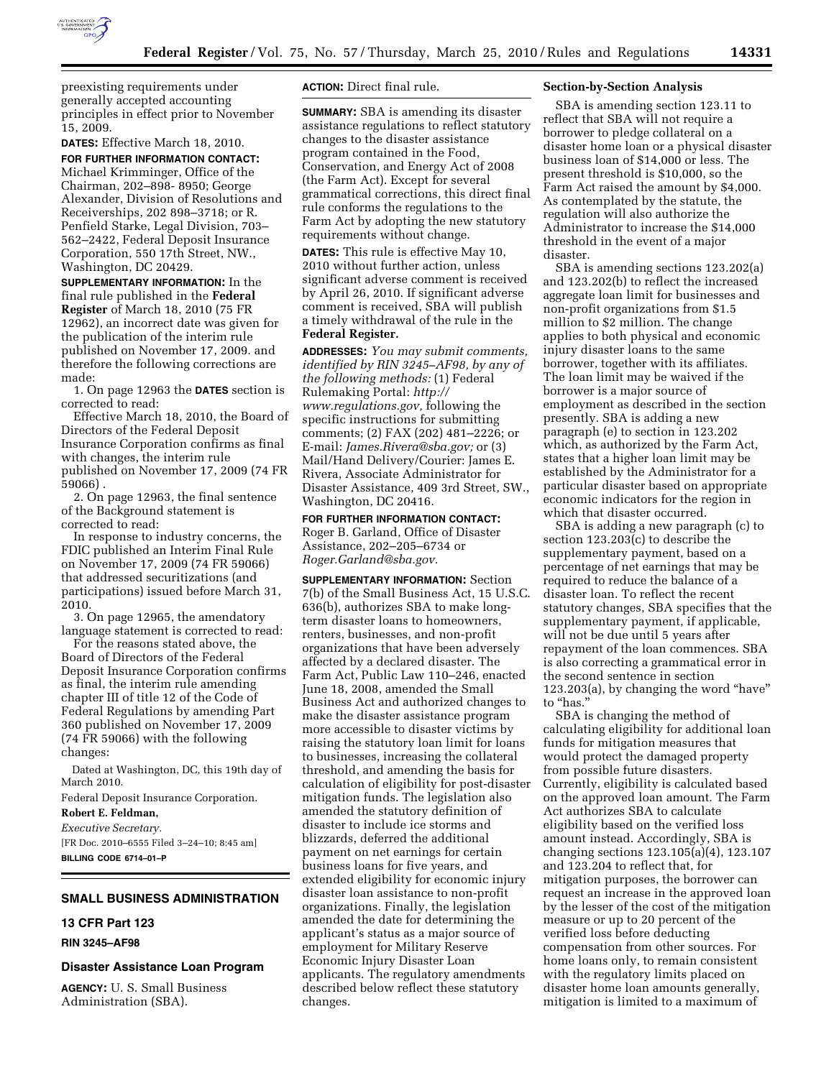

preexisting requirements under generally accepted accounting principles in effect prior to November 15, 2009.

**DATES:** Effective March 18, 2010. **FOR FURTHER INFORMATION CONTACT:** 

Michael Krimminger, Office of the Chairman, 202–898- 8950; George Alexander, Division of Resolutions and Receiverships, 202 898–3718; or R. Penfield Starke, Legal Division, 703– 562–2422, Federal Deposit Insurance Corporation, 550 17th Street, NW., Washington, DC 20429.

**SUPPLEMENTARY INFORMATION:** In the final rule published in the **Federal Register** of March 18, 2010 (75 FR 12962), an incorrect date was given for the publication of the interim rule published on November 17, 2009. and therefore the following corrections are made:

1. On page 12963 the **DATES** section is corrected to read:

Effective March 18, 2010, the Board of Directors of the Federal Deposit Insurance Corporation confirms as final with changes, the interim rule published on November 17, 2009 (74 FR 59066) .

2. On page 12963, the final sentence of the Background statement is corrected to read:

In response to industry concerns, the FDIC published an Interim Final Rule on November 17, 2009 (74 FR 59066) that addressed securitizations (and participations) issued before March 31, 2010.

3. On page 12965, the amendatory language statement is corrected to read:

For the reasons stated above, the Board of Directors of the Federal Deposit Insurance Corporation confirms as final, the interim rule amending chapter III of title 12 of the Code of Federal Regulations by amending Part 360 published on November 17, 2009 (74 FR 59066) with the following changes:

Dated at Washington, DC, this 19th day of March 2010.

Federal Deposit Insurance Corporation.

**Robert E. Feldman,** 

*Executive Secretary.* 

[FR Doc. 2010–6555 Filed 3–24–10; 8:45 am] **BILLING CODE 6714–01–P** 

# **SMALL BUSINESS ADMINISTRATION**

# **13 CFR Part 123**

### **RIN 3245–AF98**

**Disaster Assistance Loan Program** 

**AGENCY:** U. S. Small Business Administration (SBA).

## **ACTION:** Direct final rule.

**SUMMARY:** SBA is amending its disaster assistance regulations to reflect statutory changes to the disaster assistance program contained in the Food, Conservation, and Energy Act of 2008 (the Farm Act). Except for several grammatical corrections, this direct final rule conforms the regulations to the Farm Act by adopting the new statutory requirements without change.

**DATES:** This rule is effective May 10, 2010 without further action, unless significant adverse comment is received by April 26, 2010. If significant adverse comment is received, SBA will publish a timely withdrawal of the rule in the **Federal Register.** 

**ADDRESSES:** *You may submit comments, identified by RIN 3245–AF98, by any of the following methods:* (1) Federal Rulemaking Portal: *http:// www.regulations.gov,* following the specific instructions for submitting comments; (2) FAX (202) 481–2226; or E-mail: *James.Rivera@sba.gov;* or (3) Mail/Hand Delivery/Courier: James E. Rivera, Associate Administrator for Disaster Assistance, 409 3rd Street, SW., Washington, DC 20416.

**FOR FURTHER INFORMATION CONTACT:**  Roger B. Garland, Office of Disaster Assistance, 202–205–6734 or *Roger.Garland@sba.gov.* 

**SUPPLEMENTARY INFORMATION:** Section 7(b) of the Small Business Act, 15 U.S.C. 636(b), authorizes SBA to make longterm disaster loans to homeowners, renters, businesses, and non-profit organizations that have been adversely affected by a declared disaster. The Farm Act, Public Law 110–246, enacted June 18, 2008, amended the Small Business Act and authorized changes to make the disaster assistance program more accessible to disaster victims by raising the statutory loan limit for loans to businesses, increasing the collateral threshold, and amending the basis for calculation of eligibility for post-disaster mitigation funds. The legislation also amended the statutory definition of disaster to include ice storms and blizzards, deferred the additional payment on net earnings for certain business loans for five years, and extended eligibility for economic injury disaster loan assistance to non-profit organizations. Finally, the legislation amended the date for determining the applicant's status as a major source of employment for Military Reserve Economic Injury Disaster Loan applicants. The regulatory amendments described below reflect these statutory changes.

#### **Section-by-Section Analysis**

SBA is amending section 123.11 to reflect that SBA will not require a borrower to pledge collateral on a disaster home loan or a physical disaster business loan of \$14,000 or less. The present threshold is \$10,000, so the Farm Act raised the amount by \$4,000. As contemplated by the statute, the regulation will also authorize the Administrator to increase the \$14,000 threshold in the event of a major disaster.

SBA is amending sections 123.202(a) and 123.202(b) to reflect the increased aggregate loan limit for businesses and non-profit organizations from \$1.5 million to \$2 million. The change applies to both physical and economic injury disaster loans to the same borrower, together with its affiliates. The loan limit may be waived if the borrower is a major source of employment as described in the section presently. SBA is adding a new paragraph (e) to section in 123.202 which, as authorized by the Farm Act, states that a higher loan limit may be established by the Administrator for a particular disaster based on appropriate economic indicators for the region in which that disaster occurred.

SBA is adding a new paragraph (c) to section 123.203(c) to describe the supplementary payment, based on a percentage of net earnings that may be required to reduce the balance of a disaster loan. To reflect the recent statutory changes, SBA specifies that the supplementary payment, if applicable, will not be due until 5 years after repayment of the loan commences. SBA is also correcting a grammatical error in the second sentence in section 123.203(a), by changing the word ''have'' to "has."

SBA is changing the method of calculating eligibility for additional loan funds for mitigation measures that would protect the damaged property from possible future disasters. Currently, eligibility is calculated based on the approved loan amount. The Farm Act authorizes SBA to calculate eligibility based on the verified loss amount instead. Accordingly, SBA is changing sections 123.105(a)(4), 123.107 and 123.204 to reflect that, for mitigation purposes, the borrower can request an increase in the approved loan by the lesser of the cost of the mitigation measure or up to 20 percent of the verified loss before deducting compensation from other sources. For home loans only, to remain consistent with the regulatory limits placed on disaster home loan amounts generally, mitigation is limited to a maximum of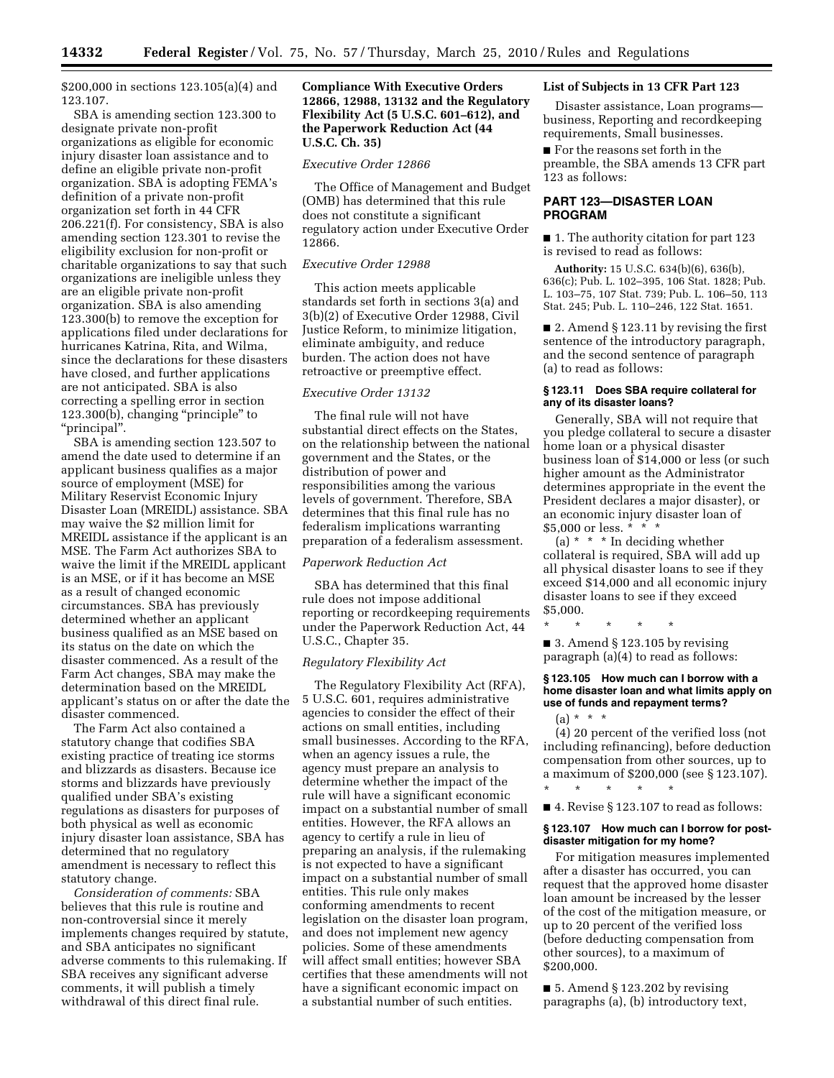\$200,000 in sections 123.105(a)(4) and 123.107.

SBA is amending section 123.300 to designate private non-profit organizations as eligible for economic injury disaster loan assistance and to define an eligible private non-profit organization. SBA is adopting FEMA's definition of a private non-profit organization set forth in 44 CFR 206.221(f). For consistency, SBA is also amending section 123.301 to revise the eligibility exclusion for non-profit or charitable organizations to say that such organizations are ineligible unless they are an eligible private non-profit organization. SBA is also amending 123.300(b) to remove the exception for applications filed under declarations for hurricanes Katrina, Rita, and Wilma, since the declarations for these disasters have closed, and further applications are not anticipated. SBA is also correcting a spelling error in section 123.300(b), changing ''principle'' to ''principal''.

SBA is amending section 123.507 to amend the date used to determine if an applicant business qualifies as a major source of employment (MSE) for Military Reservist Economic Injury Disaster Loan (MREIDL) assistance. SBA may waive the \$2 million limit for MREIDL assistance if the applicant is an MSE. The Farm Act authorizes SBA to waive the limit if the MREIDL applicant is an MSE, or if it has become an MSE as a result of changed economic circumstances. SBA has previously determined whether an applicant business qualified as an MSE based on its status on the date on which the disaster commenced. As a result of the Farm Act changes, SBA may make the determination based on the MREIDL applicant's status on or after the date the disaster commenced.

The Farm Act also contained a statutory change that codifies SBA existing practice of treating ice storms and blizzards as disasters. Because ice storms and blizzards have previously qualified under SBA's existing regulations as disasters for purposes of both physical as well as economic injury disaster loan assistance, SBA has determined that no regulatory amendment is necessary to reflect this statutory change.

*Consideration of comments:* SBA believes that this rule is routine and non-controversial since it merely implements changes required by statute, and SBA anticipates no significant adverse comments to this rulemaking. If SBA receives any significant adverse comments, it will publish a timely withdrawal of this direct final rule.

## **Compliance With Executive Orders 12866, 12988, 13132 and the Regulatory Flexibility Act (5 U.S.C. 601–612), and the Paperwork Reduction Act (44 U.S.C. Ch. 35)**

#### *Executive Order 12866*

The Office of Management and Budget (OMB) has determined that this rule does not constitute a significant regulatory action under Executive Order 12866.

### *Executive Order 12988*

This action meets applicable standards set forth in sections 3(a) and 3(b)(2) of Executive Order 12988, Civil Justice Reform, to minimize litigation, eliminate ambiguity, and reduce burden. The action does not have retroactive or preemptive effect.

### *Executive Order 13132*

The final rule will not have substantial direct effects on the States, on the relationship between the national government and the States, or the distribution of power and responsibilities among the various levels of government. Therefore, SBA determines that this final rule has no federalism implications warranting preparation of a federalism assessment.

#### *Paperwork Reduction Act*

SBA has determined that this final rule does not impose additional reporting or recordkeeping requirements under the Paperwork Reduction Act, 44 U.S.C., Chapter 35.

#### *Regulatory Flexibility Act*

The Regulatory Flexibility Act (RFA), 5 U.S.C. 601, requires administrative agencies to consider the effect of their actions on small entities, including small businesses. According to the RFA, when an agency issues a rule, the agency must prepare an analysis to determine whether the impact of the rule will have a significant economic impact on a substantial number of small entities. However, the RFA allows an agency to certify a rule in lieu of preparing an analysis, if the rulemaking is not expected to have a significant impact on a substantial number of small entities. This rule only makes conforming amendments to recent legislation on the disaster loan program, and does not implement new agency policies. Some of these amendments will affect small entities; however SBA certifies that these amendments will not have a significant economic impact on a substantial number of such entities.

#### **List of Subjects in 13 CFR Part 123**

Disaster assistance, Loan programs business, Reporting and recordkeeping requirements, Small businesses.

■ For the reasons set forth in the preamble, the SBA amends 13 CFR part 123 as follows:

## **PART 123—DISASTER LOAN PROGRAM**

■ 1. The authority citation for part 123 is revised to read as follows:

**Authority:** 15 U.S.C. 634(b)(6), 636(b), 636(c); Pub. L. 102–395, 106 Stat. 1828; Pub. L. 103–75, 107 Stat. 739; Pub. L. 106–50, 113 Stat. 245; Pub. L. 110–246, 122 Stat. 1651.

■ 2. Amend § 123.11 by revising the first sentence of the introductory paragraph, and the second sentence of paragraph (a) to read as follows:

### **§ 123.11 Does SBA require collateral for any of its disaster loans?**

Generally, SBA will not require that you pledge collateral to secure a disaster home loan or a physical disaster business loan of \$14,000 or less (or such higher amount as the Administrator determines appropriate in the event the President declares a major disaster), or an economic injury disaster loan of \$5,000 or less. \* \* \*

(a) \* \* \* In deciding whether collateral is required, SBA will add up all physical disaster loans to see if they exceed \$14,000 and all economic injury disaster loans to see if they exceed \$5,000.

\* \* \* \* \*  $\blacksquare$  3. Amend § 123.105 by revising paragraph (a)(4) to read as follows:

### **§ 123.105 How much can I borrow with a home disaster loan and what limits apply on use of funds and repayment terms?**

 $(a) * * * *$ 

(4) 20 percent of the verified loss (not including refinancing), before deduction compensation from other sources, up to a maximum of \$200,000 (see § 123.107). \* \* \* \* \*

■ 4. Revise § 123.107 to read as follows:

#### **§ 123.107 How much can I borrow for postdisaster mitigation for my home?**

For mitigation measures implemented after a disaster has occurred, you can request that the approved home disaster loan amount be increased by the lesser of the cost of the mitigation measure, or up to 20 percent of the verified loss (before deducting compensation from other sources), to a maximum of \$200,000.

 $\blacksquare$  5. Amend § 123.202 by revising paragraphs (a), (b) introductory text,